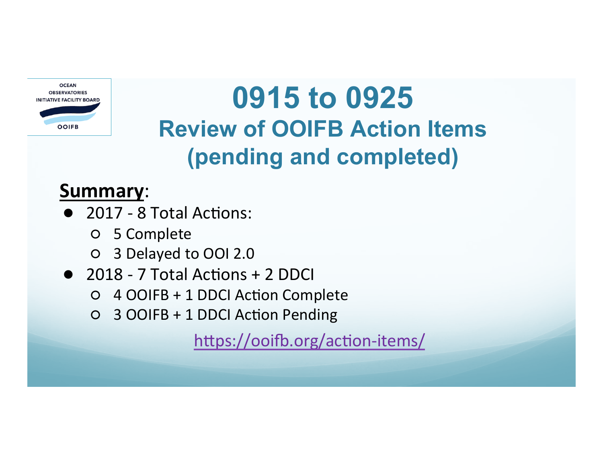

# **0915 to 0925 Review of OOIFB Action Items (pending and completed)**

### **Summary**:

- 2017 8 Total Actions:
	- 5 Complete
	- O 3 Delayed to OOI 2.0
- 2018 7 Total Actions + 2 DDCI
	- 4 OOIFB + 1 DDCI Ac1on Complete
	- 3 OOIFB + 1 DDCI Ac1on Pending

https://ooifb.org/action-items/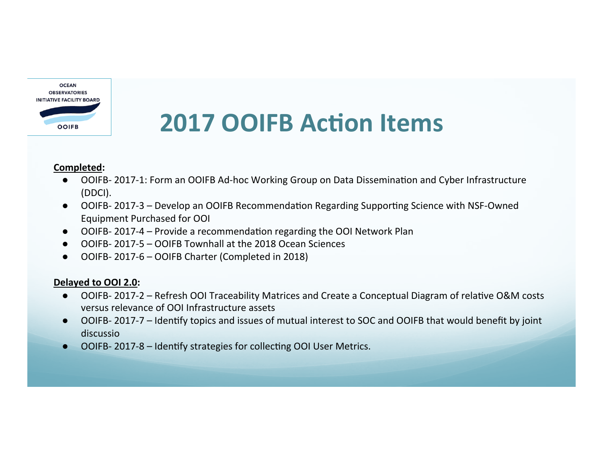

## **2017 OOIFB Action Items**

#### **Completed:**

- OOIFB- 2017-1: Form an OOIFB Ad-hoc Working Group on Data Dissemination and Cyber Infrastructure (DDCI).
- OOIFB- 2017-3 Develop an OOIFB Recommendation Regarding Supporting Science with NSF-Owned Equipment Purchased for OOI
- OOIFB- 2017-4 Provide a recommendation regarding the OOI Network Plan
- OOIFB- 2017-5 OOIFB Townhall at the 2018 Ocean Sciences
- OOIFB- 2017-6 OOIFB Charter (Completed in 2018)

#### **Delayed to OOI 2.0:**

- OOIFB- 2017-2 Refresh OOI Traceability Matrices and Create a Conceptual Diagram of relative O&M costs versus relevance of OOI Infrastructure assets
- OOIFB- 2017-7 Identify topics and issues of mutual interest to SOC and OOIFB that would benefit by joint discussio
- OOIFB- 2017-8 Identify strategies for collecting OOI User Metrics.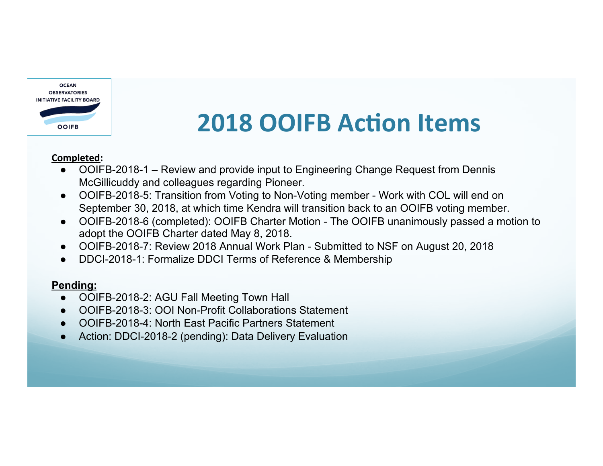

## **2018 OOIFB Action Items**

#### **Completed:**

- OOIFB-2018-1 Review and provide input to Engineering Change Request from Dennis McGillicuddy and colleagues regarding Pioneer.
- OOIFB-2018-5: Transition from Voting to Non-Voting member Work with COL will end on September 30, 2018, at which time Kendra will transition back to an OOIFB voting member.
- OOIFB-2018-6 (completed): OOIFB Charter Motion The OOIFB unanimously passed a motion to adopt the OOIFB Charter dated May 8, 2018.
- OOIFB-2018-7: Review 2018 Annual Work Plan Submitted to NSF on August 20, 2018
- DDCI-2018-1: Formalize DDCI Terms of Reference & Membership

#### **Pending:**

- OOIFB-2018-2: AGU Fall Meeting Town Hall
- OOIFB-2018-3: OOI Non-Profit Collaborations Statement
- OOIFB-2018-4: North East Pacific Partners Statement
- Action: DDCI-2018-2 (pending): Data Delivery Evaluation